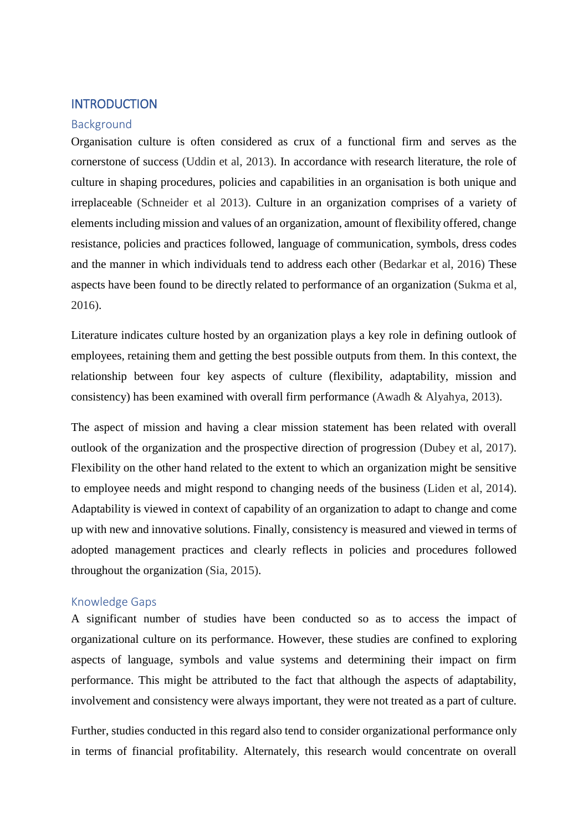## **INTRODUCTION**

#### Background

Organisation culture is often considered as crux of a functional firm and serves as the cornerstone of success (Uddin et al, 2013). In accordance with research literature, the role of culture in shaping procedures, policies and capabilities in an organisation is both unique and irreplaceable (Schneider et al 2013). Culture in an organization comprises of a variety of elements including mission and values of an organization, amount of flexibility offered, change resistance, policies and practices followed, language of communication, symbols, dress codes and the manner in which individuals tend to address each other (Bedarkar et al, 2016) These aspects have been found to be directly related to performance of an organization (Sukma et al, 2016).

Literature indicates culture hosted by an organization plays a key role in defining outlook of employees, retaining them and getting the best possible outputs from them. In this context, the relationship between four key aspects of culture (flexibility, adaptability, mission and consistency) has been examined with overall firm performance (Awadh & Alyahya, 2013).

The aspect of mission and having a clear mission statement has been related with overall outlook of the organization and the prospective direction of progression (Dubey et al, 2017). Flexibility on the other hand related to the extent to which an organization might be sensitive to employee needs and might respond to changing needs of the business (Liden et al, 2014). Adaptability is viewed in context of capability of an organization to adapt to change and come up with new and innovative solutions. Finally, consistency is measured and viewed in terms of adopted management practices and clearly reflects in policies and procedures followed throughout the organization (Sia, 2015).

#### Knowledge Gaps

A significant number of studies have been conducted so as to access the impact of organizational culture on its performance. However, these studies are confined to exploring aspects of language, symbols and value systems and determining their impact on firm performance. This might be attributed to the fact that although the aspects of adaptability, involvement and consistency were always important, they were not treated as a part of culture.

Further, studies conducted in this regard also tend to consider organizational performance only in terms of financial profitability. Alternately, this research would concentrate on overall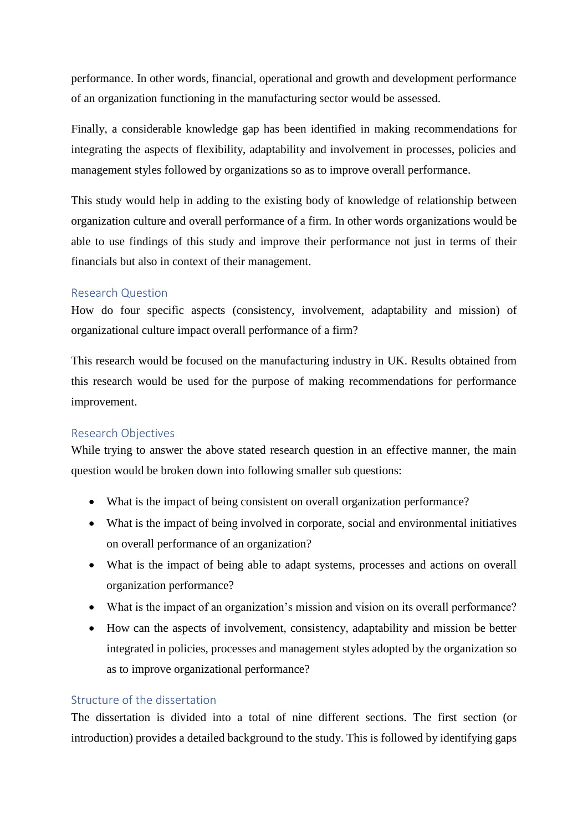performance. In other words, financial, operational and growth and development performance of an organization functioning in the manufacturing sector would be assessed.

Finally, a considerable knowledge gap has been identified in making recommendations for integrating the aspects of flexibility, adaptability and involvement in processes, policies and management styles followed by organizations so as to improve overall performance.

This study would help in adding to the existing body of knowledge of relationship between organization culture and overall performance of a firm. In other words organizations would be able to use findings of this study and improve their performance not just in terms of their financials but also in context of their management.

## Research Question

How do four specific aspects (consistency, involvement, adaptability and mission) of organizational culture impact overall performance of a firm?

This research would be focused on the manufacturing industry in UK. Results obtained from this research would be used for the purpose of making recommendations for performance improvement.

## Research Objectives

While trying to answer the above stated research question in an effective manner, the main question would be broken down into following smaller sub questions:

- What is the impact of being consistent on overall organization performance?
- What is the impact of being involved in corporate, social and environmental initiatives on overall performance of an organization?
- What is the impact of being able to adapt systems, processes and actions on overall organization performance?
- What is the impact of an organization's mission and vision on its overall performance?
- How can the aspects of involvement, consistency, adaptability and mission be better integrated in policies, processes and management styles adopted by the organization so as to improve organizational performance?

# Structure of the dissertation

The dissertation is divided into a total of nine different sections. The first section (or introduction) provides a detailed background to the study. This is followed by identifying gaps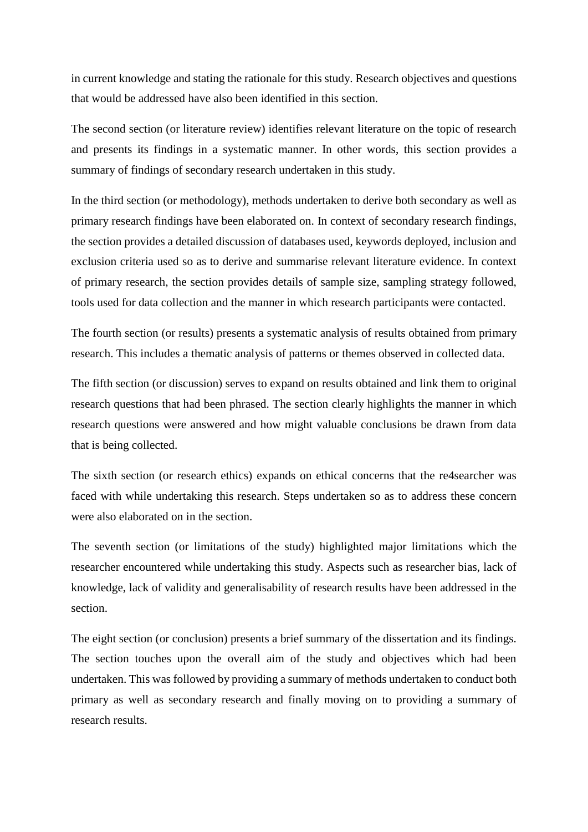in current knowledge and stating the rationale for this study. Research objectives and questions that would be addressed have also been identified in this section.

The second section (or literature review) identifies relevant literature on the topic of research and presents its findings in a systematic manner. In other words, this section provides a summary of findings of secondary research undertaken in this study.

In the third section (or methodology), methods undertaken to derive both secondary as well as primary research findings have been elaborated on. In context of secondary research findings, the section provides a detailed discussion of databases used, keywords deployed, inclusion and exclusion criteria used so as to derive and summarise relevant literature evidence. In context of primary research, the section provides details of sample size, sampling strategy followed, tools used for data collection and the manner in which research participants were contacted.

The fourth section (or results) presents a systematic analysis of results obtained from primary research. This includes a thematic analysis of patterns or themes observed in collected data.

The fifth section (or discussion) serves to expand on results obtained and link them to original research questions that had been phrased. The section clearly highlights the manner in which research questions were answered and how might valuable conclusions be drawn from data that is being collected.

The sixth section (or research ethics) expands on ethical concerns that the re4searcher was faced with while undertaking this research. Steps undertaken so as to address these concern were also elaborated on in the section.

The seventh section (or limitations of the study) highlighted major limitations which the researcher encountered while undertaking this study. Aspects such as researcher bias, lack of knowledge, lack of validity and generalisability of research results have been addressed in the section.

The eight section (or conclusion) presents a brief summary of the dissertation and its findings. The section touches upon the overall aim of the study and objectives which had been undertaken. This was followed by providing a summary of methods undertaken to conduct both primary as well as secondary research and finally moving on to providing a summary of research results.